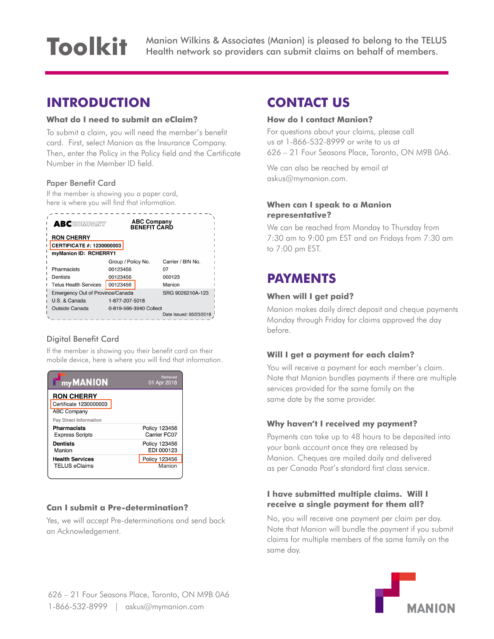# **Toolkit**

Manion Wilkins & Associates (Manion) is pleased to belong to the TELUS Health network so providers can submit claims on behalf of members.

# **INTRODUCTION**

#### **What do I need to submit an eClaim?**

To submit a claim, you will need the member's benefit card. First, select Manion as the Insurance Company. Then, enter the Policy in the Policy field and the Certificate Number in the Member ID field.

#### Paper Benefit Card

If the member is showing you a paper card, here is where you will find that information.

| <b>ABC</b> COMPANY                                   | <b>ABC Company</b><br><b>BENEFIT CARD</b> |                         |  |
|------------------------------------------------------|-------------------------------------------|-------------------------|--|
| <b>RON CHERRY</b>                                    |                                           |                         |  |
| CERTIFICATE #: 1230000003                            |                                           |                         |  |
| myManion ID: RCHERRY1                                |                                           |                         |  |
|                                                      | Group / Policy No.                        | Carrier / BIN No.       |  |
| Pharmacists                                          | 00123456                                  | 07                      |  |
| Dentists                                             | 00123456                                  | 000123                  |  |
| <b>Telus Health Services</b>                         | 00123456                                  | Manion                  |  |
| Emergency Out of Province/Canada<br>SRG 9026210A-123 |                                           |                         |  |
| U.S. & Canada                                        | 1-877-207-5018                            |                         |  |
| Outside Canada                                       | 0-819-566-3940 Collect                    |                         |  |
|                                                      |                                           | Date Issued: 05/23/2018 |  |

#### Digital Benefit Card

If the member is showing you their benefit card on their mobile device, here is where you will find that information.

| my MANION                                                                                   | Retrieved<br>01 Apr 2018 |
|---------------------------------------------------------------------------------------------|--------------------------|
| <b>RON CHERRY</b><br>Certificate 1230000003<br><b>ABC Company</b><br>Pay Direct Information |                          |
| <b>Pharmacists</b>                                                                          | Policy 123456            |
| <b>Express Scripts</b>                                                                      | Carrier FC07             |
| <b>Dentists</b>                                                                             | Policy 123456            |
| Manion                                                                                      | EDI 000123               |
| <b>Health Services</b>                                                                      | Policy 123456            |
| <b>TELUS eClaims</b>                                                                        | Manion                   |

#### **Can I submit a Pre-determination?**

Yes, we will accept Pre-determinations and send back an Acknowledgement.

## **CONTACT US**

#### **How do I contact Manion?**

For questions about your claims, please call us at 1-866-532-8999 or write to us at 626 – 21 Four Seasons Place, Toronto, ON M9B 0A6.

We can also be reached by email at askus@mymanion.com.

#### **When can I speak to a Manion representative?**

We can be reached from Monday to Thursday from 7:30 am to 9:00 pm EST and on Fridays from 7:30 am to 7:00 pm EST.

## **PAYMENTS**

#### **When will I get paid?**

Manion makes daily direct deposit and cheque payments Monday through Friday for claims approved the day before.

#### **Will I get a payment for each claim?**

You will receive a payment for each member's claim. Note that Manion bundles payments if there are multiple services provided for the same family on the same date by the same provider.

#### **Why haven't I received my payment?**

Payments can take up to 48 hours to be deposited into your bank account once they are released by Manion. Cheques are mailed daily and delivered as per Canada Post's standard first class service.

#### **I have submitted multiple claims. Will I receive a single payment for them all?**

No, you will receive one payment per claim per day. Note that Manion will bundle the payment if you submit claims for multiple members of the same family on the same day.